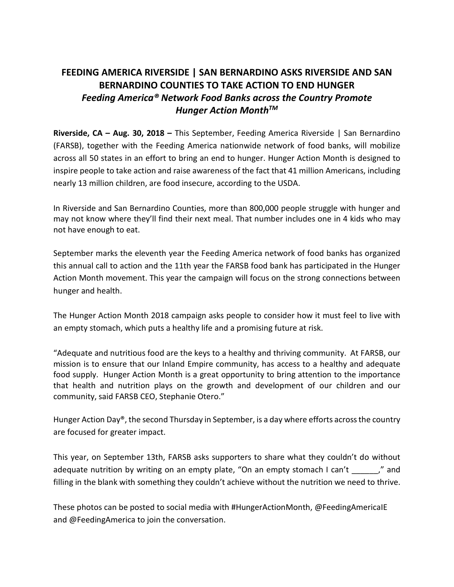## **FEEDING AMERICA RIVERSIDE | SAN BERNARDINO ASKS RIVERSIDE AND SAN BERNARDINO COUNTIES TO TAKE ACTION TO END HUNGER** *Feeding America® Network Food Banks across the Country Promote Hunger Action MonthTM*

**Riverside, CA – Aug. 30, 2018 –** This September, Feeding America Riverside | San Bernardino (FARSB), together with the Feeding America nationwide network of food banks, will mobilize across all 50 states in an effort to bring an end to hunger. Hunger Action Month is designed to inspire people to take action and raise awareness of the fact that 41 million Americans, including nearly 13 million children, are food insecure, according to the USDA.

In Riverside and San Bernardino Counties, more than 800,000 people struggle with hunger and may not know where they'll find their next meal. That number includes one in 4 kids who may not have enough to eat.

September marks the eleventh year the Feeding America network of food banks has organized this annual call to action and the 11th year the FARSB food bank has participated in the Hunger Action Month movement. This year the campaign will focus on the strong connections between hunger and health.

The Hunger Action Month 2018 campaign asks people to consider how it must feel to live with an empty stomach, which puts a healthy life and a promising future at risk.

"Adequate and nutritious food are the keys to a healthy and thriving community. At FARSB, our mission is to ensure that our Inland Empire community, has access to a healthy and adequate food supply. Hunger Action Month is a great opportunity to bring attention to the importance that health and nutrition plays on the growth and development of our children and our community, said FARSB CEO, Stephanie Otero."

Hunger Action Day®, the second Thursday in September, is a day where efforts across the country are focused for greater impact.

This year, on September 13th, FARSB asks supporters to share what they couldn't do without adequate nutrition by writing on an empty plate, "On an empty stomach I can't \_\_\_\_\_\_," and filling in the blank with something they couldn't achieve without the nutrition we need to thrive.

These photos can be posted to social media with #HungerActionMonth, @FeedingAmericaIE and @FeedingAmerica to join the conversation.